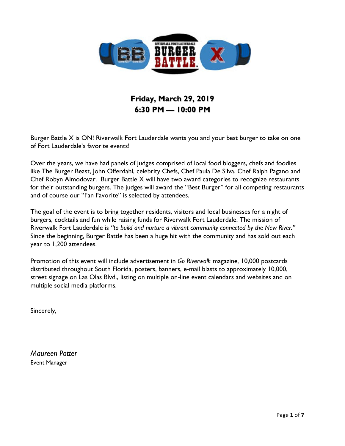

# **Friday, March 29, 2019 6:30 PM — 10:00 PM**

Burger Battle X is ON! Riverwalk Fort Lauderdale wants you and your best burger to take on one of Fort Lauderdale's favorite events!

Over the years, we have had panels of judges comprised of local food bloggers, chefs and foodies like The Burger Beast, John Offerdahl, celebrity Chefs, Chef Paula De Silva, Chef Ralph Pagano and Chef Robyn Almodovar. Burger Battle X will have two award categories to recognize restaurants for their outstanding burgers. The judges will award the "Best Burger" for all competing restaurants and of course our "Fan Favorite" is selected by attendees.

The goal of the event is to bring together residents, visitors and local businesses for a night of burgers, cocktails and fun while raising funds for Riverwalk Fort Lauderdale. The mission of Riverwalk Fort Lauderdale is *"to build and nurture a vibrant community connected by the New River."* Since the beginning, Burger Battle has been a huge hit with the community and has sold out each year to 1,200 attendees.

Promotion of this event will include advertisement in *Go Riverwalk* magazine, 10,000 postcards distributed throughout South Florida, posters, banners, e-mail blasts to approximately 10,000, street signage on Las Olas Blvd., listing on multiple on-line event calendars and websites and on multiple social media platforms.

Sincerely,

*Maureen Potter* Event Manager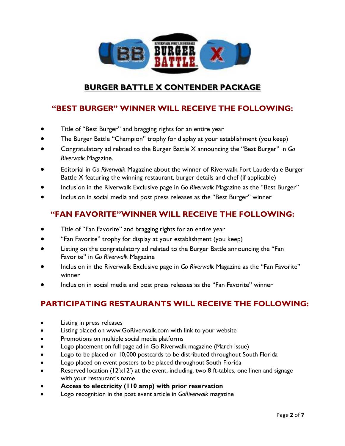

### **BURGER BATTLE X CONTENDER PACKAGE**

### **"BEST BURGER" WINNER WILL RECEIVE THE FOLLOWING:**

- Title of "Best Burger" and bragging rights for an entire year
- The Burger Battle "Champion" trophy for display at your establishment (you keep)
- Congratulatory ad related to the Burger Battle X announcing the "Best Burger" in *Go Riverwalk* Magazine.
- Editorial in *Go Riverwalk* Magazine about the winner of Riverwalk Fort Lauderdale Burger Battle X featuring the winning restaurant, burger details and chef (if applicable)
- Inclusion in the Riverwalk Exclusive page in *Go Riverwalk* Magazine as the "Best Burger"
- Inclusion in social media and post press releases as the "Best Burger" winner

### **"FAN FAVORITE"WINNER WILL RECEIVE THE FOLLOWING:**

- Title of "Fan Favorite" and bragging rights for an entire year
- "Fan Favorite" trophy for display at your establishment (you keep)
- Listing on the congratulatory ad related to the Burger Battle announcing the "Fan Favorite" in *Go Riverwalk* Magazine
- Inclusion in the Riverwalk Exclusive page in *Go Riverwalk* Magazine as the "Fan Favorite" winner
- Inclusion in social media and post press releases as the "Fan Favorite" winner

### **PARTICIPATING RESTAURANTS WILL RECEIVE THE FOLLOWING:**

- Listing in press releases
- Listing placed on www.GoRiverwalk.com with link to your website
- Promotions on multiple social media platforms
- Logo placement on full page ad in Go Riverwalk magazine (March issue)
- Logo to be placed on 10,000 postcards to be distributed throughout South Florida
- Logo placed on event posters to be placed throughout South Florida
- Reserved location ( $12x12$ ) at the event, including, two 8 ft-tables, one linen and signage with your restaurant's name
- **Access to electricity (110 amp) with prior reservation**
- Logo recognition in the post event article in *GoRiverwalk* magazine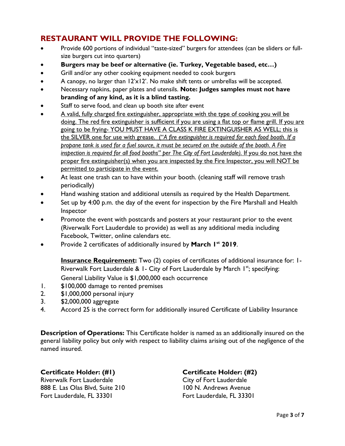### **RESTAURANT WILL PROVIDE THE FOLLOWING:**

- Provide 600 portions of individual "taste-sized" burgers for attendees (can be sliders or fullsize burgers cut into quarters)
- **Burgers may be beef or alternative (ie. Turkey, Vegetable based, etc…)**
- Grill and/or any other cooking equipment needed to cook burgers
- A canopy, no larger than 12'x12'. No make shift tents or umbrellas will be accepted.
- Necessary napkins, paper plates and utensils. **Note: Judges samples must not have branding of any kind, as it is a blind tasting.**
- Staff to serve food, and clean up booth site after event
- A valid, fully charged fire extinguisher, appropriate with the type of cooking you will be doing. The red fire extinguisher is sufficient if you are using a flat top or flame grill. If you are going to be frying- YOU MUST HAVE A CLASS K FIRE EXTINGUISHER AS WELL; this is the SILVER one for use with grease. ("*A fire extinguisher is required for each food booth. If a propane tank is used for a fuel source, it must be secured on the outside of the booth. A Fire inspection is required for all food booths" per The City of Fort Lauderdale).* If you do not have the proper fire extinguisher(s) when you are inspected by the Fire Inspector, you will NOT be permitted to participate in the event.
- At least one trash can to have within your booth. (cleaning staff will remove trash periodically)
- Hand washing station and additional utensils as required by the Health Department.
- Set up by 4:00 p.m. the day of the event for inspection by the Fire Marshall and Health Inspector
- Promote the event with postcards and posters at your restaurant prior to the event (Riverwalk Fort Lauderdale to provide) as well as any additional media including Facebook, Twitter, online calendars etc.
- Provide 2 certificates of additionally insured by **March 1 st 2019**.

**Insurance Requirement:** Two (2) copies of certificates of additional insurance for: 1-Riverwalk Fort Lauderdale & 1- City of Fort Lauderdale by March 1st; specifying:

- General Liability Value is \$1,000,000 each occurrence
- 1. \$100,000 damage to rented premises
- 2. \$1,000,000 personal injury
- 3. \$2,000,000 aggregate
- 4. Accord 25 is the correct form for additionally insured Certificate of Liability Insurance

**Description of Operations:** This Certificate holder is named as an additionally insured on the general liability policy but only with respect to liability claims arising out of the negligence of the named insured.

### **Certificate Holder: (#1) Certificate Holder: (#2)**

Riverwalk Fort Lauderdale **City of Fort Lauderdale** 888 E. Las Olas Blvd, Suite 210 100 N. Andrews Avenue Fort Lauderdale, FL 33301 Fort Lauderdale, FL 33301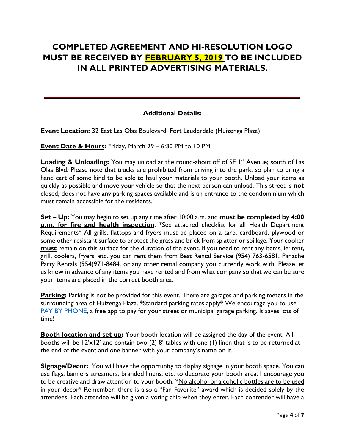# **COMPLETED AGREEMENT AND HI-RESOLUTION LOGO MUST BE RECEIVED BY FEBRUARY 5, 2019 TO BE INCLUDED IN ALL PRINTED ADVERTISING MATERIALS.**

### **Additional Details:**

**Event Location:** 32 East Las Olas Boulevard, Fort Lauderdale (Huizenga Plaza)

**Event Date & Hours:** Friday, March 29 – 6:30 PM to 10 PM

**Loading & Unloading:** You may unload at the round-about off of SE I<sup>st</sup> Avenue; south of Las Olas Blvd. Please note that trucks are prohibited from driving into the park, so plan to bring a hand cart of some kind to be able to haul your materials to your booth. Unload your items as quickly as possible and move your vehicle so that the next person can unload. This street is **not** closed, does not have any parking spaces available and is an entrance to the condominium which must remain accessible for the residents.

**Set – Up:** You may begin to set up any time after 10:00 a.m. and **must be completed by 4:00 p.m. for fire and health inspection**. \*See attached checklist for all Health Department Requirements\* All grills, flattops and fryers must be placed on a tarp, cardboard, plywood or some other resistant surface to protect the grass and brick from splatter or spillage. Your cooker **must** remain on this surface for the duration of the event. If you need to rent any items, ie: tent, grill, coolers, fryers, etc. you can rent them from Best Rental Service (954) 763-6581, Panache Party Rentals (954)971-8484, or any other rental company you currently work with. Please let us know in advance of any items you have rented and from what company so that we can be sure your items are placed in the correct booth area.

Parking: Parking is not be provided for this event. There are garages and parking meters in the surrounding area of Huizenga Plaza. \*Standard parking rates apply\* We encourage you to use [PAY BY PHONE,](http://www.fortlauderdale.gov/departments/transportation-mobility/parking-division-/pay-by-phone) a free app to pay for your street or municipal garage parking. It saves lots of time!

**Booth location and set up:** Your booth location will be assigned the day of the event. All booths will be 12'x12' and contain two (2) 8' tables with one (1) linen that is to be returned at the end of the event and one banner with your company's name on it.

**Signage/Decor:** You will have the opportunity to display signage in your booth space. You can use flags, banners streamers, branded linens, etc. to decorate your booth area. I encourage you to be creative and draw attention to your booth. \*No alcohol or alcoholic bottles are to be used in your décor\* Remember, there is also a "Fan Favorite" award which is decided solely by the attendees. Each attendee will be given a voting chip when they enter. Each contender will have a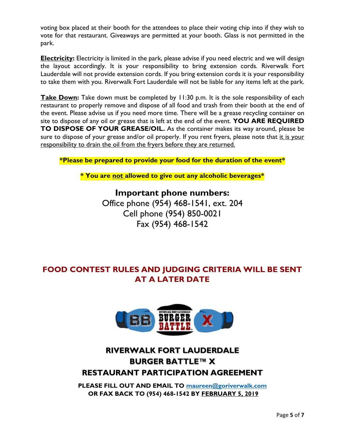voting box placed at their booth for the attendees to place their voting chip into if they wish to vote for that restaurant. Giveaways are permitted at your booth. Glass is not permitted in the park.

**Electricity:** Electricity is limited in the park, please advise if you need electric and we will design the layout accordingly. It is your responsibility to bring extension cords. Riverwalk Fort Lauderdale will not provide extension cords. If you bring extension cords it is your responsibility to take them with you. Riverwalk Fort Lauderdale will not be liable for any items left at the park.

**Take Down:** Take down must be completed by 11:30 p.m. It is the sole responsibility of each restaurant to properly remove and dispose of all food and trash from their booth at the end of the event. Please advise us if you need more time. There will be a grease recycling container on site to dispose of any oil or grease that is left at the end of the event. **YOU ARE REQUIRED TO DISPOSE OF YOUR GREASE/OIL.** As the container makes its way around, please be sure to dispose of your grease and/or oil properly. If you rent fryers, please note that it is your responsibility to drain the oil from the fryers before they are returned.

**\*Please be prepared to provide your food for the duration of the event\***

**\* You are not allowed to give out any alcoholic beverages\***

**Important phone numbers:** Office phone (954) 468-1541, ext. 204 Cell phone (954) 850-0021 Fax (954) 468-1542

### **FOOD CONTEST RULES AND JUDGING CRITERIA WILL BE SENT AT A LATER DATE**



# **RIVERWALK FORT LAUDERDALE BURGER BATTLE™ X RESTAURANT PARTICIPATION AGREEMENT**

**PLEASE FILL OUT AND EMAIL TO [maureen@goriverwalk.com](mailto:maureen@goriverwalk.com) OR FAX BACK TO (954) 468-1542 BY FEBRUARY 5, 2019**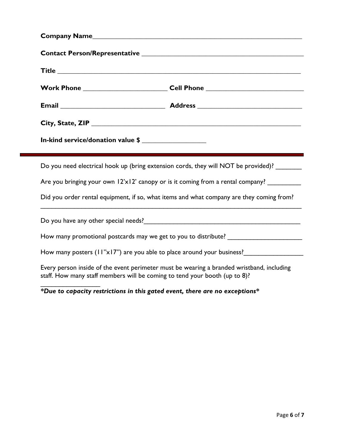|                                                                                                                                                                         | Work Phone _______________________________Cell Phone ___________________________            |
|-------------------------------------------------------------------------------------------------------------------------------------------------------------------------|---------------------------------------------------------------------------------------------|
|                                                                                                                                                                         |                                                                                             |
|                                                                                                                                                                         |                                                                                             |
| In-kind service/donation value \$                                                                                                                                       |                                                                                             |
|                                                                                                                                                                         | Do you need electrical hook up (bring extension cords, they will NOT be provided)? _______  |
|                                                                                                                                                                         | Are you bringing your own $12x12$ canopy or is it coming from a rental company? ___________ |
| Did you order rental equipment, if so, what items and what company are they coming from?                                                                                |                                                                                             |
|                                                                                                                                                                         |                                                                                             |
|                                                                                                                                                                         | How many promotional postcards may we get to you to distribute? ______________________      |
|                                                                                                                                                                         | How many posters (11"x17") are you able to place around your business?                      |
| Every person inside of the event perimeter must be wearing a branded wristband, including<br>staff. How many staff members will be coming to tend your booth (up to 8)? |                                                                                             |
|                                                                                                                                                                         | *Due to capacity restrictions in this gated event, there are no exceptions*                 |